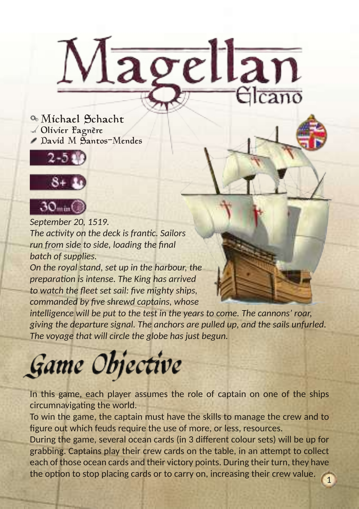Michael Schacht Olivier Fagnère David M Santos-Mendes





*September 20, 1519. The activity on the deck is frantic. Sailors run from side to side, loading the final batch of supplies.*

*On the royal stand, set up in the harbour, the preparation is intense. The King has arrived to watch the fleet set sail: five mighty ships, commanded by five shrewd captains, whose* 

*intelligence will be put to the test in the years to come. The cannons' roar, giving the departure signal. The anchors are pulled up, and the sails unfurled. The voyage that will circle the globe has just begun.*

Magellan

## Game Objective

In this game, each player assumes the role of captain on one of the ships circumnavigating the world.

To win the game, the captain must have the skills to manage the crew and to figure out which feuds require the use of more, or less, resources.

During the game, several ocean cards (in 3 different colour sets) will be up for grabbing. Captains play their crew cards on the table, in an attempt to collect each of those ocean cards and their victory points. During their turn, they have the option to stop placing cards or to carry on, increasing their crew value. 1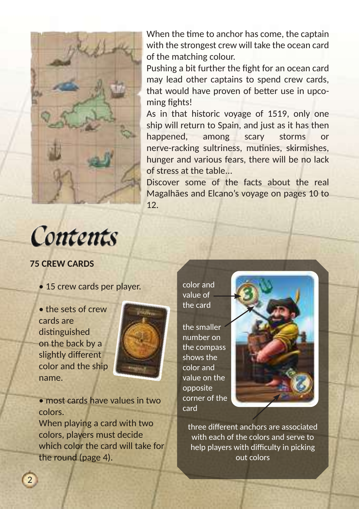

When the time to anchor has come, the captain with the strongest crew will take the ocean card of the matching colour.

Pushing a bit further the fight for an ocean card may lead other captains to spend crew cards, that would have proven of better use in upco ming fights!

As in that historic voyage of 1519, only one ship will return to Spain, and just as it has then happened, among scary storms or nerve-racking sultriness, mutinies, skirmishes, hunger and various fears, there will be no lack of stress at the table...

Discover some of the facts about the real Magalhães and Elcano's voyage on pages 10 to 12.



#### **75 CREW CARDS**

• 15 crew cards per player.

• the sets of crew cards are distinguished on the back by a slightly different color and the ship name.

2



• most cards have values in two colors.

When playing a card with two colors, players must decide which color the card will take for the round (page 4).

color and value of the card

the smaller number on the compass shows the color and value on the opposite corner of the card



three different anchors are associated with each of the colors and serve to help players with difficulty in picking out colors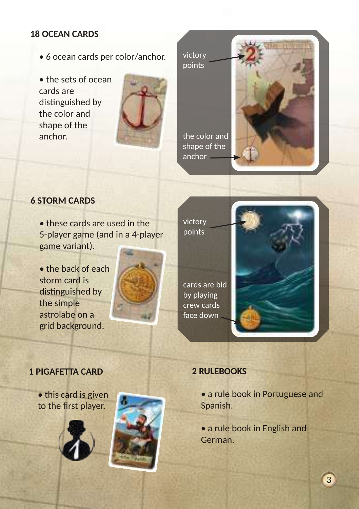#### **18 OCEAN CARDS**

- 6 ocean cards per color/anchor.
- the sets of ocean cards are distinguished by the color and shape of the anchor.



victory points

the color and shape of the anchor



#### **6 STORM CARDS**

• these cards are used in the 5-player game (and in a 4-player game variant).

• the back of each storm card is distinguished by the simple astrolabe on a grid background.





cards are bid by playing crew cards face down



#### **1 PIGAFETTA CARD**

• this card is given to the first player.





#### **2 RULEBOOKS**

• a rule book in Portuguese and Spanish.

• a rule book in English and German.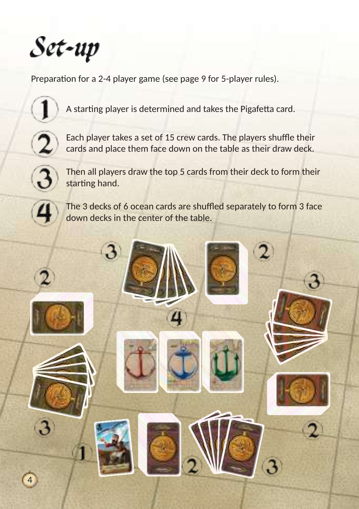

Preparation for a 2-4 player game (see page 9 for 5-player rules).



A starting player is determined and takes the Pigafetta card.



Each player takes a set of 15 crew cards. The players shuffle their cards and place them face down on the table as their draw deck.



Then all players draw the top 5 cards from their deck to form their starting hand.

The 3 decks of 6 ocean cards are shuffled separately to form 3 face down decks in the center of the table.

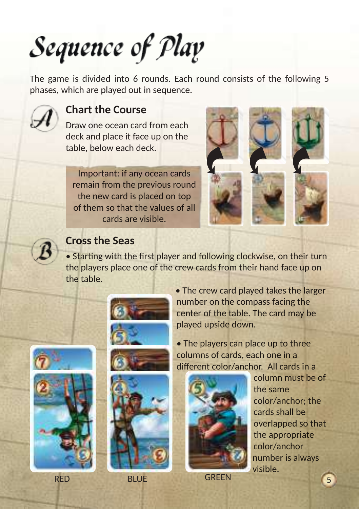## Sequence of Play

The game is divided into 6 rounds. Each round consists of the following 5 phases, which are played out in sequence.



## **Chart the Course**

Draw one ocean card from each deck and place it face up on the table, below each deck.

Important: if any ocean cards remain from the previous round the new card is placed on top of them so that the values of all cards are visible.





## **Cross the Seas**

• Starting with the first player and following clockwise, on their turn the players place one of the crew cards from their hand face up on the table.







• The players can place up to three columns of cards, each one in a different color/anchor. All cards in a



column must be of the same color/anchor; the cards shall be overlapped so that the appropriate color/anchor number is always visible.

RED BLUE GREEN (5

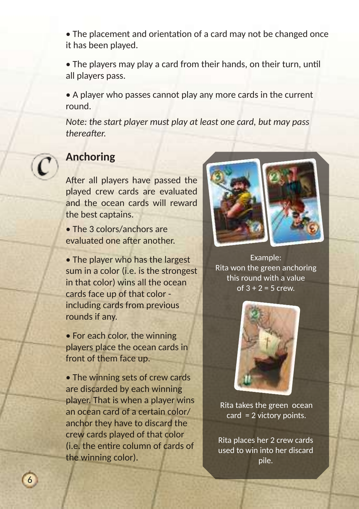• The placement and orientation of a card may not be changed once it has been played.

• The players may play a card from their hands, on their turn, until all players pass.

• A player who passes cannot play any more cards in the current round.

*Note: the start player must play at least one card, but may pass thereafter.* 



## **Anchoring**

After all players have passed the played crew cards are evaluated and the ocean cards will reward the best captains.

• The 3 colors/anchors are evaluated one after another.

• The player who has the largest sum in a color (i.e. is the strongest in that color) wins all the ocean cards face up of that color including cards from previous rounds if any.

• For each color, the winning players place the ocean cards in front of them face up.

• The winning sets of crew cards are discarded by each winning player. That is when a player wins an ocean card of a certain color/ anchor they have to discard the crew cards played of that color (i.e. the entire column of cards of the winning color).



Example: Rita won the green anchoring this round with a value of  $3 + 2 = 5$  crew.



Rita takes the green ocean card = 2 victory points.

Rita places her 2 crew cards used to win into her discard pile.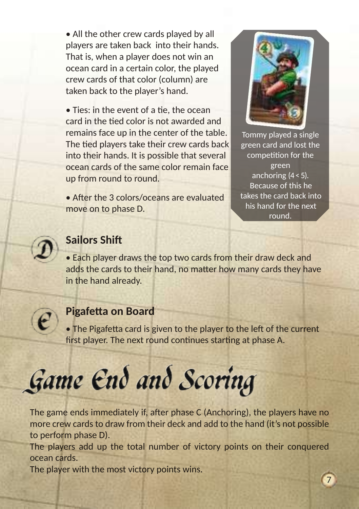• All the other crew cards played by all players are taken back into their hands. That is, when a player does not win an ocean card in a certain color, the played crew cards of that color (column) are taken back to the player's hand.

• Ties: in the event of a tie, the ocean card in the tied color is not awarded and remains face up in the center of the table. The tied players take their crew cards back into their hands. It is possible that several ocean cards of the same color remain face up from round to round.

• After the 3 colors/oceans are evaluated move on to phase D.



Tommy played a single green card and lost the competition for the green anchoring  $(4 < 5)$ . Because of this he takes the card back into his hand for the next round.

7



## **Sailors Shift**

• Each player draws the top two cards from their draw deck and adds the cards to their hand, no matter how many cards they have in the hand already.



### **Pigafetta on Board**

• The Pigafetta card is given to the player to the left of the current first player. The next round continues starting at phase A.



The game ends immediately if, after phase C (Anchoring), the players have no more crew cards to draw from their deck and add to the hand (it's not possible to perform phase D).

The players add up the total number of victory points on their conquered ocean cards.

The player with the most victory points wins.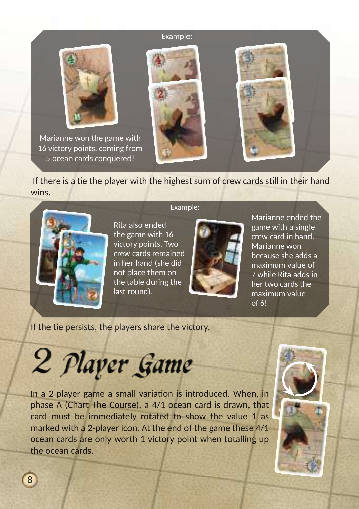#### Example:



Marianne won the game with 16 victory points, coming from 5 ocean cards conquered!



 If there is a tie the player with the highest sum of crew cards still in their hand wins.



Example:

Rita also ended the game with 16 victory points. Two crew cards remained in her hand (she did not place them on the table during the last round).



Marianne ended the game with a single crew card in hand. Marianne won because she adds a maximum value of 7 while Rita adds in her two cards the maximum value of 6!

If the tie persists, the players share the victory.

2 Player Game

In a 2-player game a small variation is introduced. When, in phase A (Chart The Course), a 4/1 ocean card is drawn, that card must be immediately rotated to show the value 1 as marked with a 2-player icon. At the end of the game these 4/1 ocean cards are only worth 1 victory point when totalling up the ocean cards.

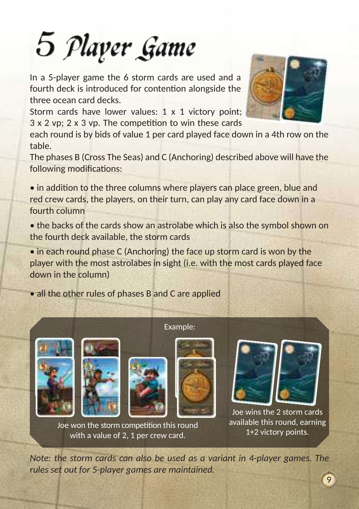# 5 Player Game

In a 5-player game the 6 storm cards are used and a fourth deck is introduced for contention alongside the three ocean card decks.

Storm cards have lower values: 1 x 1 victory point; 3 x 2 vp; 2 x 3 vp. The competition to win these cards

each round is by bids of value 1 per card played face down in a 4th row on the table.

The phases B (Cross The Seas) and C (Anchoring) described above will have the following modifications:

• in addition to the three columns where players can place green, blue and red crew cards, the players, on their turn, can play any card face down in a fourth column

• the backs of the cards show an astrolabe which is also the symbol shown on the fourth deck available, the storm cards

• in each round phase C (Anchoring) the face up storm card is won by the player with the most astrolabes in sight (i.e. with the most cards played face down in the column)

Example:

• all the other rules of phases B and C are applied











Joe wins the 2 storm cards available this round, earning 1+2 victory points.

9

Joe won the storm competition this round with a value of 2, 1 per crew card.

*Note: the storm cards can also be used as a variant in 4-player games. The rules set out for 5-player games are maintained.*

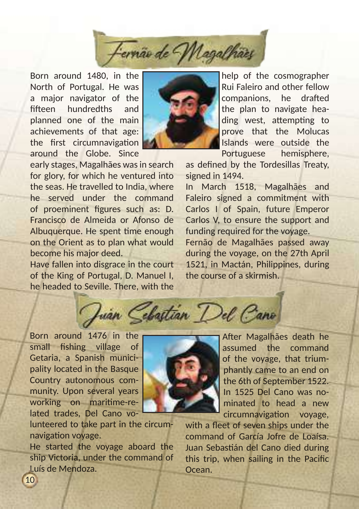

Born around 1480, in the North of Portugal. He was a major navigator of the fifteen hundredths and planned one of the main achievements of that age: the first circumnavigation around the Globe. Since



early stages, Magalhães was in search for glory, for which he ventured into the seas. He travelled to India, where he served under the command of proeminent figures such as: D. Francisco de Almeida or Afonso de Albuquerque. He spent time enough on the Orient as to plan what would become his major deed.

Have fallen into disgrace in the court of the King of Portugal, D. Manuel I, he headed to Seville. There, with the

help of the cosmographer Rui Faleiro and other fellow companions, he drafted the plan to navigate heading west, attempting to prove that the Molucas Islands were outside the Portuguese hemisphere,

as defined by the Tordesillas Treaty, signed in 1494.

In March 1518, Magalhães and Faleiro signed a commitment with Carlos I of Spain, future Emperor Carlos V, to ensure the support and funding required for the voyage.

Fernão de Magalhães passed away during the voyage, on the 27th April 1521, in Mactán, Philippines, during the course of a skirmish.

Juan Cebastian Del Cano

Born around 1476 in the small fishing village of Getaria, a Spanish municipality located in the Basque Country autonomous community. Upon several years working on maritime-related trades, Del Cano vo-

 $1<sub>0</sub>$ 

lunteered to take part in the circumnavigation voyage.

He started the voyage aboard the ship Victoria, under the command of Luís de Mendoza.



After Magalhães death he assumed the command of the voyage, that triumphantly came to an end on the 6th of September 1522. In 1525 Del Cano was nominated to head a new circumnavigation voyage,

with a fleet of seven ships under the command of García Jofre de Loaísa. Juan Sebastián del Cano died during this trip, when sailing in the Pacific Ocean.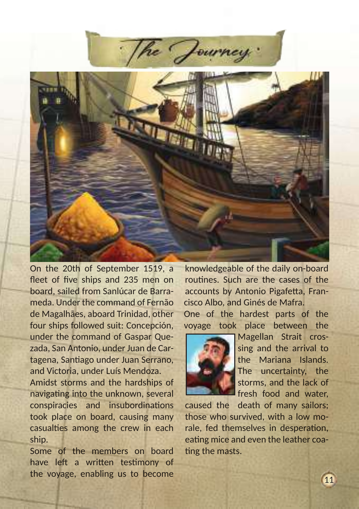

On the 20th of September 1519, a fleet of five ships and 235 men on board, sailed from Sanlúcar de Barrameda. Under the command of Fernão de Magalhães, aboard Trinidad, other four ships followed suit: Concepción, under the command of Gaspar Quezada, San Antonio, under Juan de Cartagena, Santiago under Juan Serrano, and Victoria, under Luís Mendoza.

Amidst storms and the hardships of navigating into the unknown, several conspiracies and insubordinations took place on board, causing many casualties among the crew in each ship.

Some of the members on board have left a written testimony of the voyage, enabling us to become

knowledgeable of the daily on-board routines. Such are the cases of the accounts by Antonio Pigafetta, Francisco Albo, and Ginés de Mafra.

One of the hardest parts of the voyage took place between the



Magellan Strait crossing and the arrival to the Mariana Islands. The uncertainty, the storms, and the lack of fresh food and water,

caused the death of many sailors; those who survived, with a low morale, fed themselves in desperation, eating mice and even the leather coating the masts.